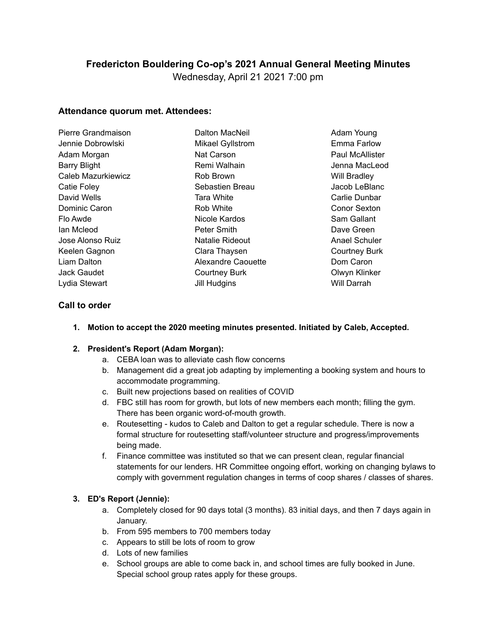# **Fredericton Bouldering Co-op's 2021 Annual General Meeting Minutes**

Wednesday, April 21 2021 7:00 pm

### **Attendance quorum met. Attendees:**

| Pierre Grandmaison | Dalton MacNeil          |
|--------------------|-------------------------|
| Jennie Dobrowlski  | <b>Mikael Gyllstrom</b> |
| Adam Morgan        | Nat Carson              |
| Barry Blight       | Remi Walhain            |
| Caleb Mazurkiewicz | Rob Brown               |
| Catie Foley        | Sebastien Breau         |
| David Wells        | <b>Tara White</b>       |
| Dominic Caron      | Rob White               |
| Flo Awde           | Nicole Kardos           |
| lan Mcleod         | Peter Smith             |
| Jose Alonso Ruiz   | Natalie Rideout         |
| Keelen Gagnon      | Clara Thaysen           |
| Liam Dalton        | Alexandre Caouette      |
| Jack Gaudet        | <b>Courtney Burk</b>    |
| Lydia Stewart      | Jill Hudgins            |
|                    |                         |

Adam Young Emma Farlow Paul McAllister Jenna MacLeod Will Bradley Jacob LeBlanc Carlie Dunbar Conor Sexton Sam Gallant Dave Green Anael Schuler Courtney Burk Dom Caron Olwyn Klinker Will Darrah

## **Call to order**

**1. Motion to accept the 2020 meeting minutes presented. Initiated by Caleb, Accepted.**

#### **2. President's Report (Adam Morgan):**

- a. CEBA loan was to alleviate cash flow concerns
- b. Management did a great job adapting by implementing a booking system and hours to accommodate programming.
- c. Built new projections based on realities of COVID
- d. FBC still has room for growth, but lots of new members each month; filling the gym. There has been organic word-of-mouth growth.
- e. Routesetting kudos to Caleb and Dalton to get a regular schedule. There is now a formal structure for routesetting staff/volunteer structure and progress/improvements being made.
- f. Finance committee was instituted so that we can present clean, regular financial statements for our lenders. HR Committee ongoing effort, working on changing bylaws to comply with government regulation changes in terms of coop shares / classes of shares.

#### **3. ED's Report (Jennie):**

- a. Completely closed for 90 days total (3 months). 83 initial days, and then 7 days again in January.
- b. From 595 members to 700 members today
- c. Appears to still be lots of room to grow
- d. Lots of new families
- e. School groups are able to come back in, and school times are fully booked in June. Special school group rates apply for these groups.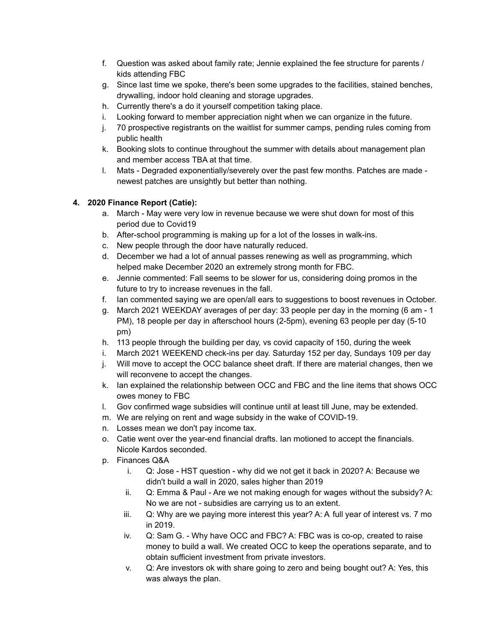- f. Question was asked about family rate; Jennie explained the fee structure for parents / kids attending FBC
- g. Since last time we spoke, there's been some upgrades to the facilities, stained benches, drywalling, indoor hold cleaning and storage upgrades.
- h. Currently there's a do it yourself competition taking place.
- i. Looking forward to member appreciation night when we can organize in the future.
- j. 70 prospective registrants on the waitlist for summer camps, pending rules coming from public health
- k. Booking slots to continue throughout the summer with details about management plan and member access TBA at that time.
- l. Mats Degraded exponentially/severely over the past few months. Patches are made newest patches are unsightly but better than nothing.

## **4. 2020 Finance Report (Catie):**

- a. March May were very low in revenue because we were shut down for most of this period due to Covid19
- b. After-school programming is making up for a lot of the losses in walk-ins.
- c. New people through the door have naturally reduced.
- d. December we had a lot of annual passes renewing as well as programming, which helped make December 2020 an extremely strong month for FBC.
- e. Jennie commented: Fall seems to be slower for us, considering doing promos in the future to try to increase revenues in the fall.
- f. Ian commented saying we are open/all ears to suggestions to boost revenues in October.
- g. March 2021 WEEKDAY averages of per day: 33 people per day in the morning (6 am 1 PM), 18 people per day in afterschool hours (2-5pm), evening 63 people per day (5-10 pm)
- h. 113 people through the building per day, vs covid capacity of 150, during the week
- i. March 2021 WEEKEND check-ins per day. Saturday 152 per day, Sundays 109 per day
- j. Will move to accept the OCC balance sheet draft. If there are material changes, then we will reconvene to accept the changes.
- k. Ian explained the relationship between OCC and FBC and the line items that shows OCC owes money to FBC
- l. Gov confirmed wage subsidies will continue until at least till June, may be extended.
- m. We are relying on rent and wage subsidy in the wake of COVID-19.
- n. Losses mean we don't pay income tax.
- o. Catie went over the year-end financial drafts. Ian motioned to accept the financials. Nicole Kardos seconded.
- p. Finances Q&A
	- i. Q: Jose HST question why did we not get it back in 2020? A: Because we didn't build a wall in 2020, sales higher than 2019
	- ii. Q: Emma & Paul Are we not making enough for wages without the subsidy? A: No we are not - subsidies are carrying us to an extent.
	- iii. Q: Why are we paying more interest this year? A: A full year of interest vs. 7 mo in 2019.
	- iv. Q: Sam G. Why have OCC and FBC? A: FBC was is co-op, created to raise money to build a wall. We created OCC to keep the operations separate, and to obtain sufficient investment from private investors.
	- v. Q: Are investors ok with share going to zero and being bought out? A: Yes, this was always the plan.